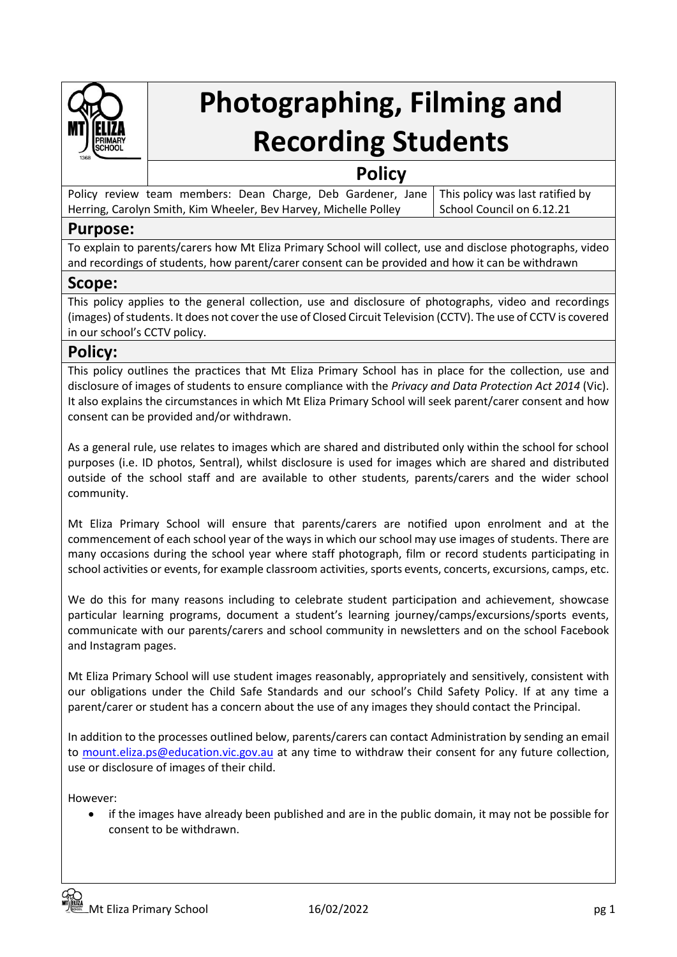

# **Photographing, Filming and Recording Students**

# **Policy**

|                                                                  |  |  |  |  |  |  |                           | Policy review team members: Dean Charge, Deb Gardener, Jane   This policy was last ratified by |
|------------------------------------------------------------------|--|--|--|--|--|--|---------------------------|------------------------------------------------------------------------------------------------|
| Herring, Carolyn Smith, Kim Wheeler, Bev Harvey, Michelle Polley |  |  |  |  |  |  | School Council on 6.12.21 |                                                                                                |

# **Purpose:**

To explain to parents/carers how Mt Eliza Primary School will collect, use and disclose photographs, video and recordings of students, how parent/carer consent can be provided and how it can be withdrawn

# **Scope:**

This policy applies to the general collection, use and disclosure of photographs, video and recordings (images) of students. It does not cover the use of Closed Circuit Television (CCTV). The use of CCTV is covered in our school's CCTV policy.

# **Policy:**

This policy outlines the practices that Mt Eliza Primary School has in place for the collection, use and disclosure of images of students to ensure compliance with the *Privacy and Data Protection Act 2014* (Vic). It also explains the circumstances in which Mt Eliza Primary School will seek parent/carer consent and how consent can be provided and/or withdrawn.

As a general rule, use relates to images which are shared and distributed only within the school for school purposes (i.e. ID photos, Sentral), whilst disclosure is used for images which are shared and distributed outside of the school staff and are available to other students, parents/carers and the wider school community.

Mt Eliza Primary School will ensure that parents/carers are notified upon enrolment and at the commencement of each school year of the ways in which our school may use images of students. There are many occasions during the school year where staff photograph, film or record students participating in school activities or events, for example classroom activities, sports events, concerts, excursions, camps, etc.

We do this for many reasons including to celebrate student participation and achievement, showcase particular learning programs, document a student's learning journey/camps/excursions/sports events, communicate with our parents/carers and school community in newsletters and on the school Facebook and Instagram pages.

Mt Eliza Primary School will use student images reasonably, appropriately and sensitively, consistent with our obligations under the Child Safe Standards and our school's Child Safety Policy. If at any time a parent/carer or student has a concern about the use of any images they should contact the Principal.

In addition to the processes outlined below, parents/carers can contact Administration by sending an email to [mount.eliza.ps@education.vic.gov.au](mailto:mount.eliza.ps@education.vic.gov.au) at any time to withdraw their consent for any future collection, use or disclosure of images of their child.

However:

• if the images have already been published and are in the public domain, it may not be possible for consent to be withdrawn.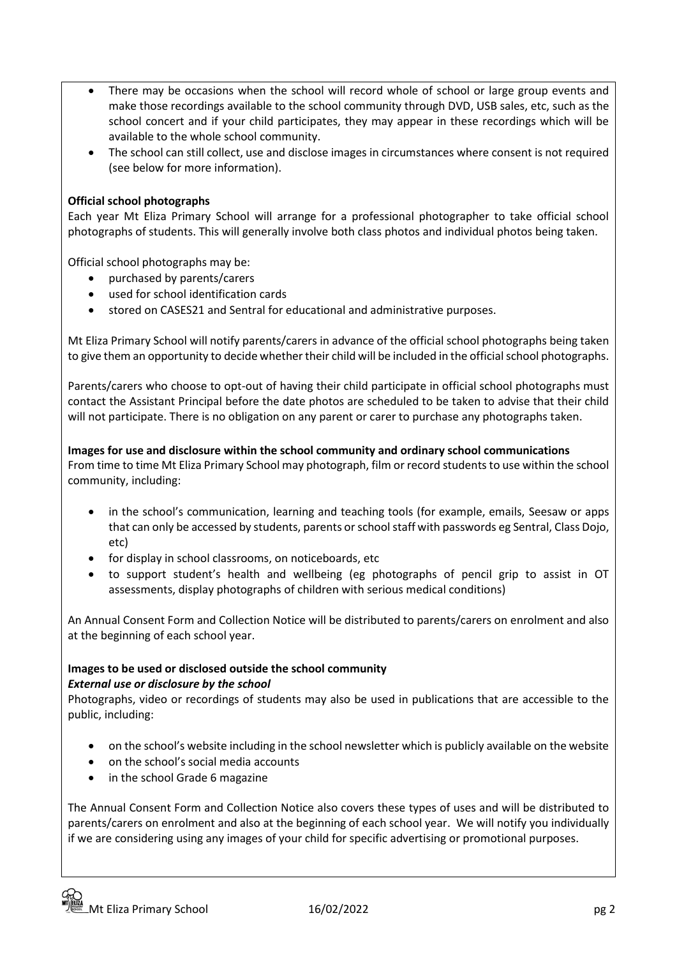- There may be occasions when the school will record whole of school or large group events and make those recordings available to the school community through DVD, USB sales, etc, such as the school concert and if your child participates, they may appear in these recordings which will be available to the whole school community.
- The school can still collect, use and disclose images in circumstances where consent is not required (see below for more information).

### **Official school photographs**

Each year Mt Eliza Primary School will arrange for a professional photographer to take official school photographs of students. This will generally involve both class photos and individual photos being taken.

Official school photographs may be:

- purchased by parents/carers
- used for school identification cards
- stored on CASES21 and Sentral for educational and administrative purposes.

Mt Eliza Primary School will notify parents/carers in advance of the official school photographs being taken to give them an opportunity to decide whether their child will be included in the official school photographs.

Parents/carers who choose to opt-out of having their child participate in official school photographs must contact the Assistant Principal before the date photos are scheduled to be taken to advise that their child will not participate. There is no obligation on any parent or carer to purchase any photographs taken.

**Images for use and disclosure within the school community and ordinary school communications** From time to time Mt Eliza Primary School may photograph, film or record students to use within the school community, including:

- in the school's communication, learning and teaching tools (for example, emails, Seesaw or apps that can only be accessed by students, parents or school staff with passwords eg Sentral, Class Dojo, etc)
- for display in school classrooms, on noticeboards, etc
- to support student's health and wellbeing (eg photographs of pencil grip to assist in OT assessments, display photographs of children with serious medical conditions)

An Annual Consent Form and Collection Notice will be distributed to parents/carers on enrolment and also at the beginning of each school year.

# **Images to be used or disclosed outside the school community** *External use or disclosure by the school*

Photographs, video or recordings of students may also be used in publications that are accessible to the public, including:

- on the school's website including in the school newsletter which is publicly available on the website
- on the school's social media accounts
- in the school Grade 6 magazine

The Annual Consent Form and Collection Notice also covers these types of uses and will be distributed to parents/carers on enrolment and also at the beginning of each school year. We will notify you individually if we are considering using any images of your child for specific advertising or promotional purposes.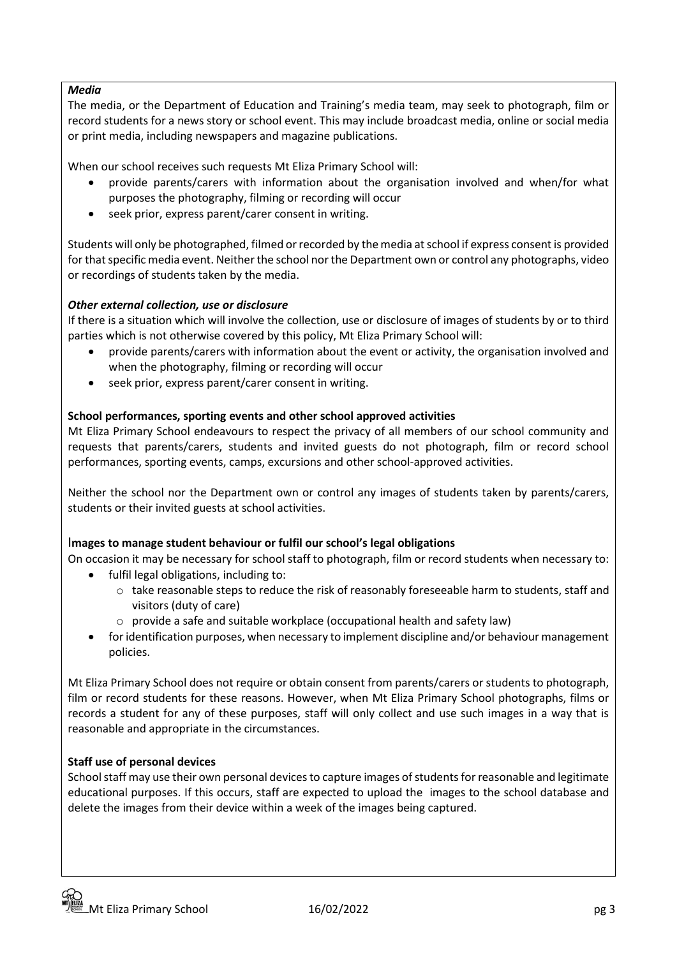### *Media*

The media, or the Department of Education and Training's media team, may seek to photograph, film or record students for a news story or school event. This may include broadcast media, online or social media or print media, including newspapers and magazine publications.

When our school receives such requests Mt Eliza Primary School will:

- provide parents/carers with information about the organisation involved and when/for what purposes the photography, filming or recording will occur
- seek prior, express parent/carer consent in writing.

Students will only be photographed, filmed or recorded by the media at school if express consent is provided for that specific media event. Neither the school nor the Department own or control any photographs, video or recordings of students taken by the media.

### *Other external collection, use or disclosure*

If there is a situation which will involve the collection, use or disclosure of images of students by or to third parties which is not otherwise covered by this policy, Mt Eliza Primary School will:

- provide parents/carers with information about the event or activity, the organisation involved and when the photography, filming or recording will occur
- seek prior, express parent/carer consent in writing.

### **School performances, sporting events and other school approved activities**

Mt Eliza Primary School endeavours to respect the privacy of all members of our school community and requests that parents/carers, students and invited guests do not photograph, film or record school performances, sporting events, camps, excursions and other school-approved activities.

Neither the school nor the Department own or control any images of students taken by parents/carers, students or their invited guests at school activities.

### I**mages to manage student behaviour or fulfil our school's legal obligations**

On occasion it may be necessary for school staff to photograph, film or record students when necessary to:

- fulfil legal obligations, including to:
	- $\circ$  take reasonable steps to reduce the risk of reasonably foreseeable harm to students, staff and visitors (duty of care)
	- $\circ$  provide a safe and suitable workplace (occupational health and safety law)
- for identification purposes, when necessary to implement discipline and/or behaviour management policies.

Mt Eliza Primary School does not require or obtain consent from parents/carers or students to photograph, film or record students for these reasons. However, when Mt Eliza Primary School photographs, films or records a student for any of these purposes, staff will only collect and use such images in a way that is reasonable and appropriate in the circumstances.

### **Staff use of personal devices**

School staff may use their own personal devices to capture images of students for reasonable and legitimate educational purposes. If this occurs, staff are expected to upload the images to the school database and delete the images from their device within a week of the images being captured.